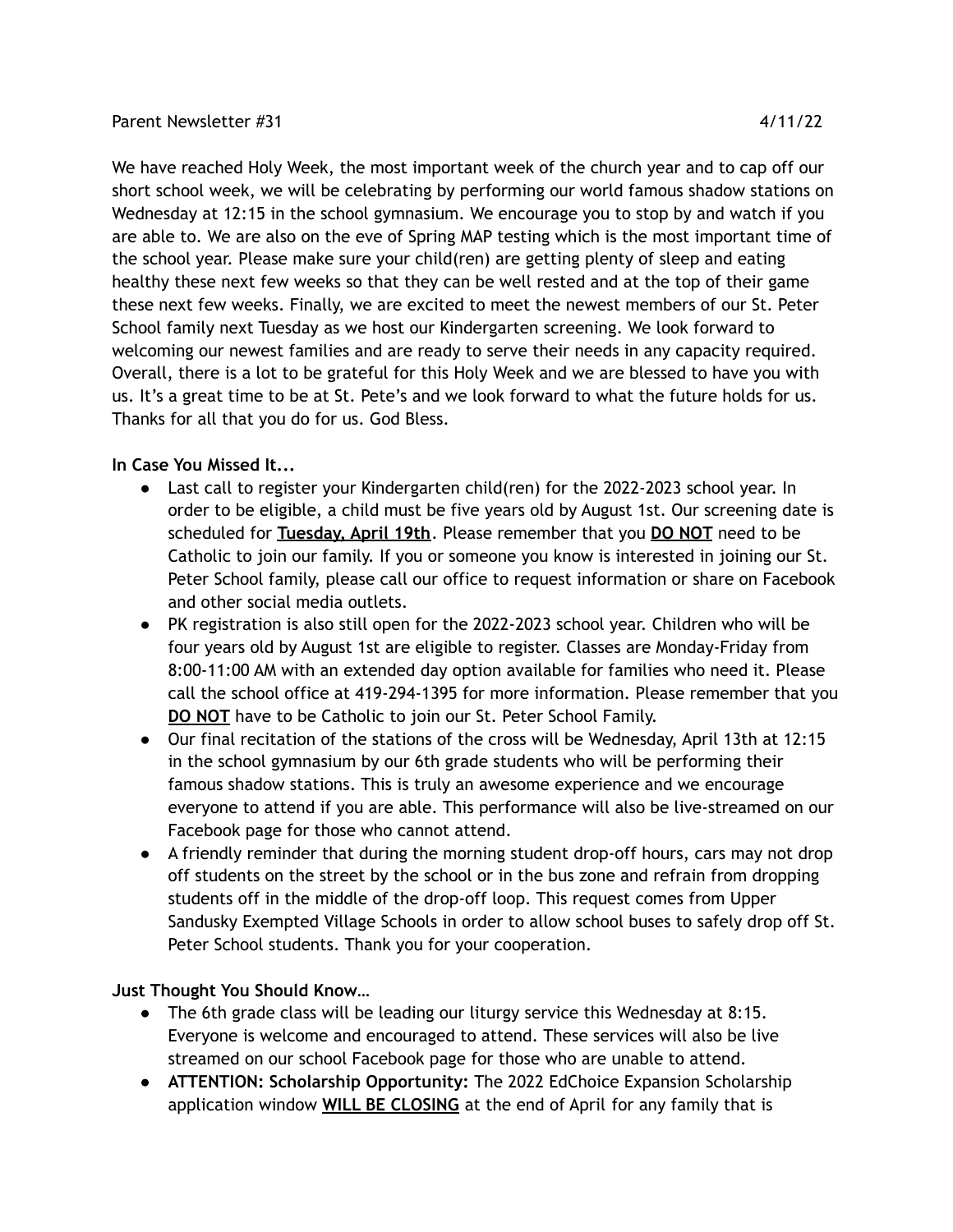## Parent Newsletter #31 4/11/22

We have reached Holy Week, the most important week of the church year and to cap off our short school week, we will be celebrating by performing our world famous shadow stations on Wednesday at 12:15 in the school gymnasium. We encourage you to stop by and watch if you are able to. We are also on the eve of Spring MAP testing which is the most important time of the school year. Please make sure your child(ren) are getting plenty of sleep and eating healthy these next few weeks so that they can be well rested and at the top of their game these next few weeks. Finally, we are excited to meet the newest members of our St. Peter School family next Tuesday as we host our Kindergarten screening. We look forward to welcoming our newest families and are ready to serve their needs in any capacity required. Overall, there is a lot to be grateful for this Holy Week and we are blessed to have you with us. It's a great time to be at St. Pete's and we look forward to what the future holds for us. Thanks for all that you do for us. God Bless.

## **In Case You Missed It...**

- Last call to register your Kindergarten child(ren) for the 2022-2023 school year. In order to be eligible, a child must be five years old by August 1st. Our screening date is scheduled for **Tuesday, April 19th**. Please remember that you **DO NOT** need to be Catholic to join our family. If you or someone you know is interested in joining our St. Peter School family, please call our office to request information or share on Facebook and other social media outlets.
- PK registration is also still open for the 2022-2023 school year. Children who will be four years old by August 1st are eligible to register. Classes are Monday-Friday from 8:00-11:00 AM with an extended day option available for families who need it. Please call the school office at 419-294-1395 for more information. Please remember that you **DO NOT** have to be Catholic to join our St. Peter School Family.
- Our final recitation of the stations of the cross will be Wednesday, April 13th at 12:15 in the school gymnasium by our 6th grade students who will be performing their famous shadow stations. This is truly an awesome experience and we encourage everyone to attend if you are able. This performance will also be live-streamed on our Facebook page for those who cannot attend.
- A friendly reminder that during the morning student drop-off hours, cars may not drop off students on the street by the school or in the bus zone and refrain from dropping students off in the middle of the drop-off loop. This request comes from Upper Sandusky Exempted Village Schools in order to allow school buses to safely drop off St. Peter School students. Thank you for your cooperation.

## **Just Thought You Should Know…**

- The 6th grade class will be leading our liturgy service this Wednesday at 8:15. Everyone is welcome and encouraged to attend. These services will also be live streamed on our school Facebook page for those who are unable to attend.
- **ATTENTION: Scholarship Opportunity:** The 2022 EdChoice Expansion Scholarship application window **WILL BE CLOSING** at the end of April for any family that is